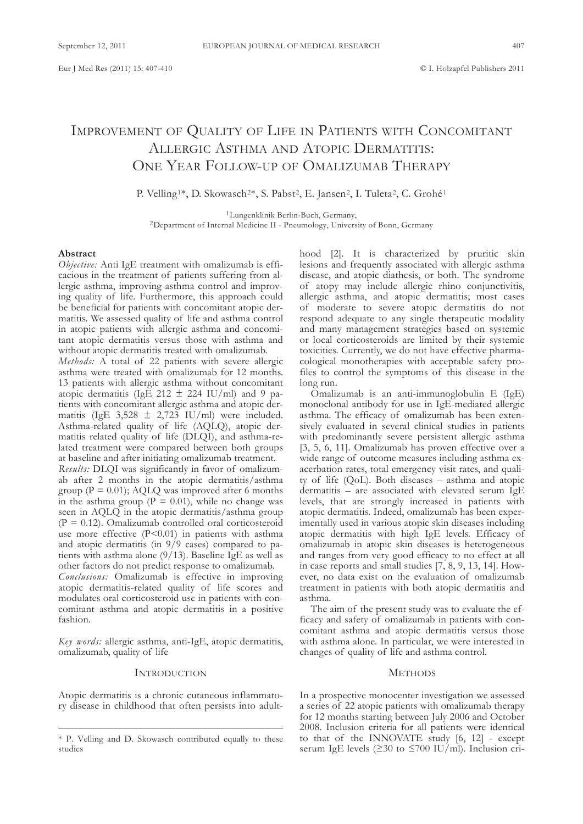# IMPROVEMENT OF QUALITY OF LIFE IN PATIENTS WITH CONCOMITANT ALLERGIC ASTHMA AND ATOPIC DERMATITIS: ONE YEAR FOLLOW-UP OF OMALIZUMAB THERAPY

P. Velling<sup>1\*</sup>, D. Skowasch<sup>2\*</sup>, S. Pabst<sup>2</sup>, E. Jansen<sup>2</sup>, I. Tuleta<sup>2</sup>, C. Grohé<sup>1</sup>

<sup>1</sup>Lungenklinik Berlin-Buch, Germany, <sup>2</sup>Department of Internal Medicine II - Pneumology, University of Bonn, Germany

# **Abstract**

*Objective:* Anti IgE treatment with omalizumab is efficacious in the treatment of patients suffering from allergic asthma, improving asthma control and improving quality of life. furthermore, this approach could be beneficial for patients with concomitant atopic dermatitis. we assessed quality of life and asthma control in atopic patients with allergic asthma and concomitant atopic dermatitis versus those with asthma and without atopic dermatitis treated with omalizumab.

*Methods:* A total of 22 patients with severe allergic asthma were treated with omalizumab for 12 months. 13 patients with allergic asthma without concomitant atopic dermatitis (IgE 212  $\pm$  224 IU/ml) and 9 patients with concomitant allergic asthma and atopic dermatitis (IgE  $3,528 \pm 2,723$  IU/ml) were included. Asthma-related quality of life (AQLQ), atopic dermatitis related quality of life (DlQI), and asthma-related treatment were compared between both groups at baseline and after initiating omalizumab treatment.

*Results:* DLQI was significantly in favor of omalizumab after 2 months in the atopic dermatitis/asthma group ( $P = 0.01$ ); AQLQ was improved after 6 months in the asthma group  $(P = 0.01)$ , while no change was seen in AQLQ in the atopic dermatitis/asthma group  $(P = 0.12)$ . Omalizumab controlled oral corticosteroid use more effective  $(P<0.01)$  in patients with asthma and atopic dermatitis (in 9/9 cases) compared to patients with asthma alone  $(9/13)$ . Baseline IgE as well as other factors do not predict response to omalizumab. Conclusions: Omalizumab is effective in improving atopic dermatitis-related quality of life scores and modulates oral corticosteroid use in patients with concomitant asthma and atopic dermatitis in a positive fashion.

*Key words:* allergic asthma, anti-IgE, atopic dermatitis, omalizumab, quality of life

#### **INTRODUCTION**

Atopic dermatitis is a chronic cutaneous inflammatory disease in childhood that often persists into adulthood [2]. It is characterized by pruritic skin lesions and frequently associated with allergic asthma disease, and atopic diathesis, or both. The syndrome of atopy may include allergic rhino conjunctivitis, allergic asthma, and atopic dermatitis; most cases of moderate to severe atopic dermatitis do not respond adequate to any single therapeutic modality and many management strategies based on systemic or local corticosteroids are limited by their systemic toxicities. Currently, we do not have effective pharmacological monotherapies with acceptable safety profiles to control the symptoms of this disease in the long run.

omalizumab is an anti-immunoglobulin E (IgE) monoclonal antibody for use in IgE-mediated allergic asthma. The efficacy of omalizumab has been extensively evaluated in several clinical studies in patients with predominantly severe persistent allergic asthma [3, 5, 6, 11]. Omalizumab has proven effective over a wide range of outcome measures including asthma exacerbation rates, total emergency visit rates, and quality of life (Qol). both diseases – asthma and atopic dermatitis – are associated with elevated serum IgE levels, that are strongly increased in patients with atopic dermatitis. Indeed, omalizumab has been experimentally used in various atopic skin diseases including atopic dermatitis with high IgE levels. Efficacy of omalizumab in atopic skin diseases is heterogeneous and ranges from very good efficacy to no effect at all in case reports and small studies [7, 8, 9, 13, 14]. However, no data exist on the evaluation of omalizumab treatment in patients with both atopic dermatitis and asthma.

The aim of the present study was to evaluate the efficacy and safety of omalizumab in patients with concomitant asthma and atopic dermatitis versus those with asthma alone. In particular, we were interested in changes of quality of life and asthma control.

# **METHODS**

In a prospective monocenter investigation we assessed a series of 22 atopic patients with omalizumab therapy for 12 months starting between July 2006 and October 2008. Inclusion criteria for all patients were identical to that of the INNOVATE study  $[6, 12]$  - except serum IgE levels ( $\geq$ 30 to  $\leq$ 700 IU/ml). Inclusion cri-

<sup>\*</sup> P. Velling and D. Skowasch contributed equally to these studies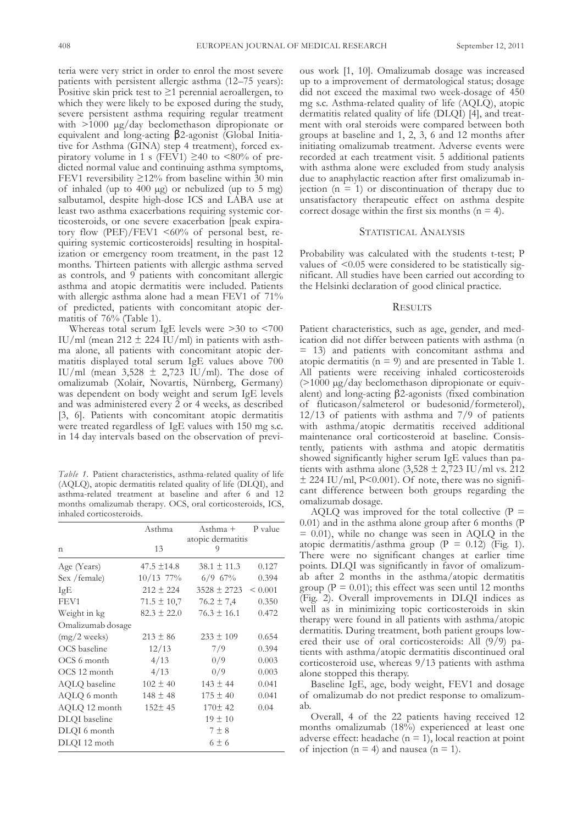teria were very strict in order to enrol the most severe patients with persistent allergic asthma (12–75 years): Positive skin prick test to  $\geq 1$  perennial aeroallergen, to which they were likely to be exposed during the study, severe persistent asthma requiring regular treatment with  $>1000 \mu$ g/day beclomethason dipropionate or equivalent and long-acting β2-agonist (global Initiative for Asthma (GINA) step 4 treatment), forced expiratory volume in 1 s (FEV1)  $\geq$ 40 to <80% of predicted normal value and continuing asthma symptoms, fEV1 reversibility ≥12% from baseline within 30 min of inhaled (up to  $400 \mu$ g) or nebulized (up to  $5 \mu$ g) salbutamol, despite high-dose ICS and LABA use at least two asthma exacerbations requiring systemic corticosteroids, or one severe exacerbation [peak expiratory flow (PEF)/FEV1  $\leq 60\%$  of personal best, requiring systemic corticosteroids] resulting in hospitalization or emergency room treatment, in the past 12 months. Thirteen patients with allergic asthma served as controls, and 9 patients with concomitant allergic asthma and atopic dermatitis were included. Patients with allergic asthma alone had a mean fEV1 of 71% of predicted, patients with concomitant atopic dermatitis of 76% (Table 1).

whereas total serum IgE levels were >30 to <700 IU/ml (mean  $212 \pm 224$  IU/ml) in patients with asthma alone, all patients with concomitant atopic dermatitis displayed total serum IgE values above 700 IU/ml (mean  $3,528 \pm 2,723$  IU/ml). The dose of omalizumab (Xolair, Novartis, Nürnberg, Germany) was dependent on body weight and serum IgE levels and was administered every 2 or 4 weeks, as described [3, 6]. Patients with concomitant atopic dermatitis were treated regardless of IgE values with 150 mg s.c. in 14 day intervals based on the observation of previ-

*Table 1.* Patient characteristics, asthma-related quality of life (aQlQ), atopic dermatitis related quality of life (DlQI), and asthma-related treatment at baseline and after 6 and 12 months omalizumab therapy. oCS, oral corticosteroids, ICS, inhaled corticosteroids.

|                   | Asthma          | Asthma +                | P value |
|-------------------|-----------------|-------------------------|---------|
| $\mathsf{L}$      | 13              | atopic dermatitis<br>9  |         |
| Age (Years)       | $47.5 \pm 14.8$ | $38.1 \pm 11.3$         | 0.127   |
| Sex / female)     | $10/13$ 77%     | $6/9$ 67%               | 0.394   |
| IgE               | $212 \pm 224$   | $3528 \pm 2723$ < 0.001 |         |
| FEV1              | $71.5 \pm 10.7$ | $76.2 \pm 7.4$          | 0.350   |
| Weight in kg      | $82.3 \pm 22.0$ | $76.3 \pm 16.1$         | 0.472   |
| Omalizumab dosage |                 |                         |         |
| $(mg/2$ weeks)    | $213 \pm 86$    | $233 \pm 109$           | 0.654   |
| OCS baseline      | 12/13           | 7/9                     | 0.394   |
| OCS 6 month       | 4/13            | 0/9                     | 0.003   |
| OCS 12 month      | 4/13            | 0/9                     | 0.003   |
| AQLQ baseline     | $102 \pm 40$    | $143 \pm 44$            | 0.041   |
| AQLQ 6 month      | $148 \pm 48$    | $175 \pm 40$            | 0.041   |
| AQLQ 12 month     | $152 \pm 45$    | 170±42                  | 0.04    |
| DLQI baseline     |                 | $19 \pm 10$             |         |
| DLQI 6 month      |                 | $7 \pm 8$               |         |
| DLQI 12 moth      |                 | $6\pm 6$                |         |

ous work [1, 10]. Omalizumab dosage was increased up to a improvement of dermatological status; dosage did not exceed the maximal two week-dosage of 450 mg s.c. Asthma-related quality of life (AQLQ), atopic dermatitis related quality of life (DlQI) [4], and treatment with oral steroids were compared between both groups at baseline and 1, 2, 3, 6 and 12 months after initiating omalizumab treatment. Adverse events were recorded at each treatment visit. 5 additional patients with asthma alone were excluded from study analysis due to anaphylactic reaction after first omalizumab injection  $(n = 1)$  or discontinuation of therapy due to unsatisfactory therapeutic effect on asthma despite correct dosage within the first six months  $(n = 4)$ .

#### STATISTICAL ANALYSIS

Probability was calculated with the students t-test; P values of  $\leq 0.05$  were considered to be statistically significant. all studies have been carried out according to the Helsinki declaration of good clinical practice.

# **RESULTS**

Patient characteristics, such as age, gender, and medication did not differ between patients with asthma (n = 13) and patients with concomitant asthma and atopic dermatitis ( $n = 9$ ) and are presented in Table 1. all patients were receiving inhaled corticosteroids (>1000 µg/day beclomethason dipropionate or equivalent) and long-acting β2-agonists (fixed combination of fluticason/salmeterol or budesonid/formeterol), 12/13 of patients with asthma and 7/9 of patients with asthma/atopic dermatitis received additional maintenance oral corticosteroid at baseline. Consistently, patients with asthma and atopic dermatitis showed significantly higher serum IgE values than patients with asthma alone  $(3,528 \pm 2,723 \text{ IU/ml vs. } 212)$  $\pm$  224 IU/ml, P<0.001). Of note, there was no significant difference between both groups regarding the omalizumab dosage.

AQLQ was improved for the total collective  $(P =$ 0.01) and in the asthma alone group after 6 months (P  $= 0.01$ ), while no change was seen in AQLQ in the atopic dermatitis/asthma group ( $P = 0.12$ ) (Fig. 1). There were no significant changes at earlier time points. DlQI was significantly in favor of omalizumab after 2 months in the asthma/atopic dermatitis group ( $P = 0.01$ ); this effect was seen until 12 months (fig. 2). overall improvements in DlQI indices as well as in minimizing topic corticosteroids in skin therapy were found in all patients with asthma/atopic dermatitis. During treatment, both patient groups lowered their use of oral corticosteroids: all (9/9) patients with asthma/atopic dermatitis discontinued oral corticosteroid use, whereas 9/13 patients with asthma alone stopped this therapy.

baseline IgE, age, body weight, fEV1 and dosage of omalizumab do not predict response to omalizumab.

Overall, 4 of the 22 patients having received 12 months omalizumab (18%) experienced at least one adverse effect: headache ( $n = 1$ ), local reaction at point of injection ( $n = 4$ ) and nausea ( $n = 1$ ).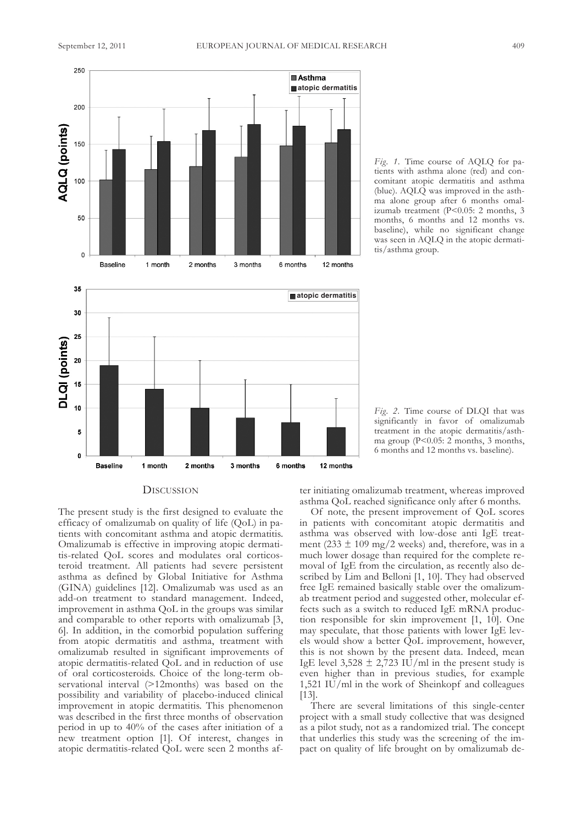

*Fig.* 1. Time course of AQLQ for patients with asthma alone (red) and concomitant atopic dermatitis and asthma (blue). AQLQ was improved in the asthma alone group after 6 months omalizumab treatment (P<0.05: 2 months, 3 months, 6 months and 12 months vs. baseline), while no significant change was seen in AQLQ in the atopic dermatitis/asthma group.



*Fig.* 2. Time course of DLQI that was significantly in favor of omalizumab treatment in the atopic dermatitis/asthma group (P<0.05: 2 months, 3 months, 6 months and 12 months vs. baseline).

# **DISCUSSION**

The present study is the first designed to evaluate the efficacy of omalizumab on quality of life (Qol) in patients with concomitant asthma and atopic dermatitis. omalizumab is effective in improving atopic dermatitis-related Qol scores and modulates oral corticosteroid treatment. all patients had severe persistent asthma as defined by Global Initiative for Asthma (GINA) guidelines [12]. Omalizumab was used as an add-on treatment to standard management. Indeed, improvement in asthma Qol in the groups was similar and comparable to other reports with omalizumab [3, 6]. In addition, in the comorbid population suffering from atopic dermatitis and asthma, treatment with omalizumab resulted in significant improvements of atopic dermatitis-related QoL and in reduction of use of oral corticosteroids. Choice of the long-term observational interval (>12months) was based on the possibility and variability of placebo-induced clinical improvement in atopic dermatitis. This phenomenon was described in the first three months of observation period in up to 40% of the cases after initiation of a new treatment option [1]. of interest, changes in atopic dermatitis-related Qol were seen 2 months after initiating omalizumab treatment, whereas improved asthma Qol reached significance only after 6 months.

of note, the present improvement of Qol scores in patients with concomitant atopic dermatitis and asthma was observed with low-dose anti IgE treatment (233  $\pm$  109 mg/2 weeks) and, therefore, was in a much lower dosage than required for the complete removal of IgE from the circulation, as recently also described by Lim and Belloni [1, 10]. They had observed free IgE remained basically stable over the omalizumab treatment period and suggested other, molecular effects such as a switch to reduced IgE mRNA production responsible for skin improvement [1, 10]. One may speculate, that those patients with lower IgE levels would show a better Qol improvement, however, this is not shown by the present data. Indeed, mean IgE level  $3,528 \pm 2,723$  IU/ml in the present study is even higher than in previous studies, for example 1,521 IU/ml in the work of Sheinkopf and colleagues [13].

There are several limitations of this single-center project with a small study collective that was designed as a pilot study, not as a randomized trial. The concept that underlies this study was the screening of the impact on quality of life brought on by omalizumab de